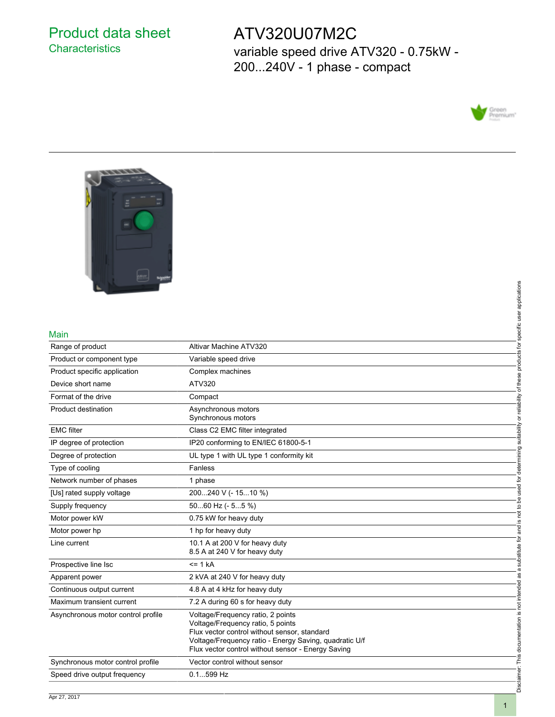# Product data sheet **Characteristics**

# ATV320U07M2C

variable speed drive ATV320 - 0.75kW - 200...240V - 1 phase - compact





### Main

| Main                               |                                                                                                                                                                                                                                        | specific user applications          |
|------------------------------------|----------------------------------------------------------------------------------------------------------------------------------------------------------------------------------------------------------------------------------------|-------------------------------------|
| Range of product                   | Altivar Machine ATV320                                                                                                                                                                                                                 |                                     |
| Product or component type          | Variable speed drive                                                                                                                                                                                                                   | products for                        |
| Product specific application       | Complex machines                                                                                                                                                                                                                       |                                     |
| Device short name                  | ATV320                                                                                                                                                                                                                                 |                                     |
| Format of the drive                | Compact                                                                                                                                                                                                                                |                                     |
| <b>Product destination</b>         | Asynchronous motors<br>Synchronous motors                                                                                                                                                                                              | suitability or reliability of these |
| <b>EMC</b> filter                  | Class C2 EMC filter integrated                                                                                                                                                                                                         |                                     |
| IP degree of protection            | IP20 conforming to EN/IEC 61800-5-1                                                                                                                                                                                                    |                                     |
| Degree of protection               | UL type 1 with UL type 1 conformity kit                                                                                                                                                                                                |                                     |
| Type of cooling                    | Fanless                                                                                                                                                                                                                                |                                     |
| Network number of phases           | 1 phase                                                                                                                                                                                                                                |                                     |
| [Us] rated supply voltage          | 200240 V (- 1510 %)                                                                                                                                                                                                                    | not to be used for determining      |
| Supply frequency                   | 5060 Hz (- 55 %)                                                                                                                                                                                                                       |                                     |
| Motor power kW                     | 0.75 kW for heavy duty                                                                                                                                                                                                                 |                                     |
| Motor power hp                     | 1 hp for heavy duty                                                                                                                                                                                                                    |                                     |
| Line current                       | 10.1 A at 200 V for heavy duty<br>8.5 A at 240 V for heavy duty                                                                                                                                                                        | substitute for and is               |
| Prospective line Isc               | $= 1 kA$                                                                                                                                                                                                                               |                                     |
| Apparent power                     | 2 kVA at 240 V for heavy duty                                                                                                                                                                                                          | not intended as a                   |
| Continuous output current          | 4.8 A at 4 kHz for heavy duty                                                                                                                                                                                                          |                                     |
| Maximum transient current          | 7.2 A during 60 s for heavy duty                                                                                                                                                                                                       |                                     |
| Asynchronous motor control profile | Voltage/Frequency ratio, 2 points<br>Voltage/Frequency ratio, 5 points<br>Flux vector control without sensor, standard<br>Voltage/Frequency ratio - Energy Saving, quadratic U/f<br>Flux vector control without sensor - Energy Saving | Disclaimer: This documentation is   |
| Synchronous motor control profile  | Vector control without sensor                                                                                                                                                                                                          |                                     |
| Speed drive output frequency       | $0.1599$ Hz                                                                                                                                                                                                                            |                                     |
|                                    |                                                                                                                                                                                                                                        |                                     |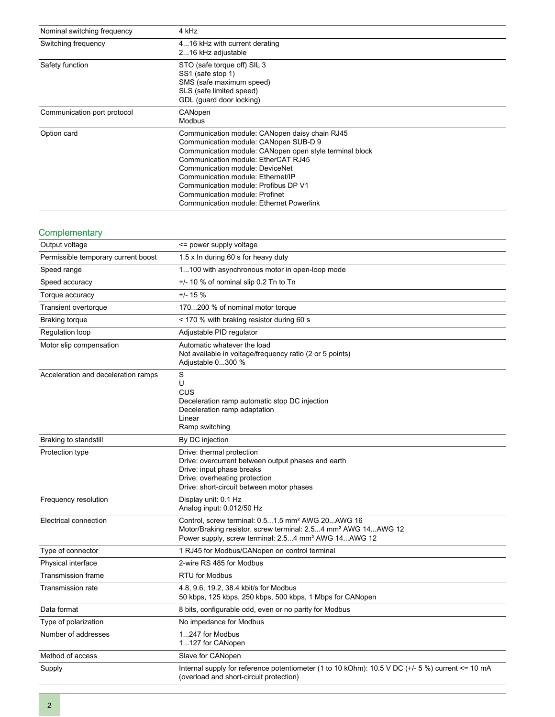| Nominal switching frequency | 4 kHz                                                                                                                                                                                                                                                                                                                                                                                   |
|-----------------------------|-----------------------------------------------------------------------------------------------------------------------------------------------------------------------------------------------------------------------------------------------------------------------------------------------------------------------------------------------------------------------------------------|
| Switching frequency         | 416 kHz with current derating<br>216 kHz adjustable                                                                                                                                                                                                                                                                                                                                     |
| Safety function             | STO (safe torque off) SIL 3<br>SS1 (safe stop 1)<br>SMS (safe maximum speed)<br>SLS (safe limited speed)<br>GDL (quard door locking)                                                                                                                                                                                                                                                    |
| Communication port protocol | CANopen<br>Modbus                                                                                                                                                                                                                                                                                                                                                                       |
| Option card                 | Communication module: CANopen daisy chain RJ45<br>Communication module: CANopen SUB-D 9<br>Communication module: CANopen open style terminal block<br>Communication module: EtherCAT RJ45<br>Communication module: DeviceNet<br>Communication module: Ethernet/IP<br>Communication module: Profibus DP V1<br>Communication module: Profinet<br>Communication module: Ethernet Powerlink |

### **Complementary**

| Output voltage                      | <= power supply voltage                                                                                                                                                                                      |
|-------------------------------------|--------------------------------------------------------------------------------------------------------------------------------------------------------------------------------------------------------------|
| Permissible temporary current boost | 1.5 x In during 60 s for heavy duty                                                                                                                                                                          |
| Speed range                         | 1100 with asynchronous motor in open-loop mode                                                                                                                                                               |
| Speed accuracy                      | +/- 10 % of nominal slip 0.2 Tn to Tn                                                                                                                                                                        |
| Torque accuracy                     | $+/- 15 \%$                                                                                                                                                                                                  |
| Transient overtorque                | 170200 % of nominal motor torque                                                                                                                                                                             |
| <b>Braking torque</b>               | < 170 % with braking resistor during 60 s                                                                                                                                                                    |
| Regulation loop                     | Adjustable PID regulator                                                                                                                                                                                     |
| Motor slip compensation             | Automatic whatever the load<br>Not available in voltage/frequency ratio (2 or 5 points)<br>Adjustable 0300 %                                                                                                 |
| Acceleration and deceleration ramps | S<br>U<br>CUS<br>Deceleration ramp automatic stop DC injection<br>Deceleration ramp adaptation<br>Linear<br>Ramp switching                                                                                   |
| Braking to standstill               | By DC injection                                                                                                                                                                                              |
| Protection type                     | Drive: thermal protection<br>Drive: overcurrent between output phases and earth<br>Drive: input phase breaks<br>Drive: overheating protection<br>Drive: short-circuit between motor phases                   |
| Frequency resolution                | Display unit: 0.1 Hz<br>Analog input: 0.012/50 Hz                                                                                                                                                            |
| Electrical connection               | Control, screw terminal: 0.51.5 mm <sup>2</sup> AWG 20AWG 16<br>Motor/Braking resistor, screw terminal: 2.54 mm <sup>2</sup> AWG 14AWG 12<br>Power supply, screw terminal: 2.54 mm <sup>2</sup> AWG 14AWG 12 |
| Type of connector                   | 1 RJ45 for Modbus/CANopen on control terminal                                                                                                                                                                |
| Physical interface                  | 2-wire RS 485 for Modbus                                                                                                                                                                                     |
| <b>Transmission frame</b>           | <b>RTU for Modbus</b>                                                                                                                                                                                        |
| <b>Transmission rate</b>            | 4.8, 9.6, 19.2, 38.4 kbit/s for Modbus<br>50 kbps, 125 kbps, 250 kbps, 500 kbps, 1 Mbps for CANopen                                                                                                          |
| Data format                         | 8 bits, configurable odd, even or no parity for Modbus                                                                                                                                                       |
| Type of polarization                | No impedance for Modbus                                                                                                                                                                                      |
| Number of addresses                 | 1247 for Modbus<br>1127 for CANopen                                                                                                                                                                          |
| Method of access                    | Slave for CANopen                                                                                                                                                                                            |
| Supply                              | Internal supply for reference potentiometer (1 to 10 kOhm): 10.5 V DC (+/- 5 %) current <= 10 mA<br>(overload and short-circuit protection)                                                                  |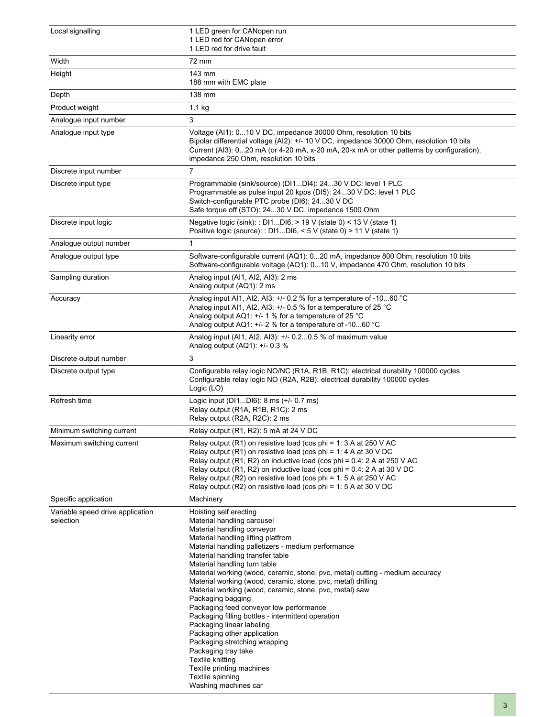| Local signalling                              | 1 LED green for CANopen run<br>1 LED red for CANopen error<br>1 LED red for drive fault                                                                                                                                                                                                                                                                                                                                                                                                                                                                                                                                                                                                                                                                                                               |
|-----------------------------------------------|-------------------------------------------------------------------------------------------------------------------------------------------------------------------------------------------------------------------------------------------------------------------------------------------------------------------------------------------------------------------------------------------------------------------------------------------------------------------------------------------------------------------------------------------------------------------------------------------------------------------------------------------------------------------------------------------------------------------------------------------------------------------------------------------------------|
| Width                                         | 72 mm                                                                                                                                                                                                                                                                                                                                                                                                                                                                                                                                                                                                                                                                                                                                                                                                 |
| Height                                        | 143 mm<br>188 mm with EMC plate                                                                                                                                                                                                                                                                                                                                                                                                                                                                                                                                                                                                                                                                                                                                                                       |
| Depth                                         | 138 mm                                                                                                                                                                                                                                                                                                                                                                                                                                                                                                                                                                                                                                                                                                                                                                                                |
| Product weight                                | $1.1$ kg                                                                                                                                                                                                                                                                                                                                                                                                                                                                                                                                                                                                                                                                                                                                                                                              |
| Analogue input number                         | 3                                                                                                                                                                                                                                                                                                                                                                                                                                                                                                                                                                                                                                                                                                                                                                                                     |
| Analogue input type                           | Voltage (AI1): 010 V DC, impedance 30000 Ohm, resolution 10 bits<br>Bipolar differential voltage (Al2): +/- 10 V DC, impedance 30000 Ohm, resolution 10 bits<br>Current (AI3): 020 mA (or 4-20 mA, x-20 mA, 20-x mA or other patterns by configuration),<br>impedance 250 Ohm, resolution 10 bits                                                                                                                                                                                                                                                                                                                                                                                                                                                                                                     |
| Discrete input number                         | $\overline{7}$                                                                                                                                                                                                                                                                                                                                                                                                                                                                                                                                                                                                                                                                                                                                                                                        |
| Discrete input type                           | Programmable (sink/source) (DI1DI4): 2430 V DC: level 1 PLC<br>Programmable as pulse input 20 kpps (DI5): 2430 V DC: level 1 PLC<br>Switch-configurable PTC probe (DI6): 2430 V DC<br>Safe torque off (STO): 2430 V DC, impedance 1500 Ohm                                                                                                                                                                                                                                                                                                                                                                                                                                                                                                                                                            |
| Discrete input logic                          | Negative logic (sink): : DI1DI6, > 19 V (state 0) < 13 V (state 1)<br>Positive logic (source): : DI1DI6, < 5 V (state 0) > 11 V (state 1)                                                                                                                                                                                                                                                                                                                                                                                                                                                                                                                                                                                                                                                             |
| Analogue output number                        | 1                                                                                                                                                                                                                                                                                                                                                                                                                                                                                                                                                                                                                                                                                                                                                                                                     |
| Analogue output type                          | Software-configurable current (AQ1): 020 mA, impedance 800 Ohm, resolution 10 bits<br>Software-configurable voltage (AQ1): 010 V, impedance 470 Ohm, resolution 10 bits                                                                                                                                                                                                                                                                                                                                                                                                                                                                                                                                                                                                                               |
| Sampling duration                             | Analog input (Al1, Al2, Al3): 2 ms<br>Analog output (AQ1): 2 ms                                                                                                                                                                                                                                                                                                                                                                                                                                                                                                                                                                                                                                                                                                                                       |
| Accuracy                                      | Analog input AI1, AI2, AI3: +/- 0.2 % for a temperature of -1060 °C<br>Analog input Al1, Al2, Al3: +/- 0.5 % for a temperature of 25 °C<br>Analog output AQ1: +/- 1 % for a temperature of 25 °C<br>Analog output AQ1: +/- 2 % for a temperature of -1060 °C                                                                                                                                                                                                                                                                                                                                                                                                                                                                                                                                          |
| Linearity error                               | Analog input (Al1, Al2, Al3): +/- 0.20.5 % of maximum value<br>Analog output (AQ1): +/- 0.3 %                                                                                                                                                                                                                                                                                                                                                                                                                                                                                                                                                                                                                                                                                                         |
| Discrete output number                        | 3                                                                                                                                                                                                                                                                                                                                                                                                                                                                                                                                                                                                                                                                                                                                                                                                     |
| Discrete output type                          | Configurable relay logic NO/NC (R1A, R1B, R1C): electrical durability 100000 cycles<br>Configurable relay logic NO (R2A, R2B): electrical durability 100000 cycles<br>Logic (LO)                                                                                                                                                                                                                                                                                                                                                                                                                                                                                                                                                                                                                      |
| Refresh time                                  | Logic input (DI1DI6): 8 ms (+/- 0.7 ms)<br>Relay output (R1A, R1B, R1C): 2 ms<br>Relay output (R2A, R2C): 2 ms                                                                                                                                                                                                                                                                                                                                                                                                                                                                                                                                                                                                                                                                                        |
| Minimum switching current                     | Relay output (R1, R2): 5 mA at 24 V DC                                                                                                                                                                                                                                                                                                                                                                                                                                                                                                                                                                                                                                                                                                                                                                |
| Maximum switching current                     | Relay output $(R1)$ on resistive load (cos phi = 1: 3 A at 250 V AC<br>Relay output (R1) on resistive load (cos phi = 1: 4 A at 30 V DC<br>Relay output (R1, R2) on inductive load (cos phi = $0.4$ : 2 A at 250 V AC<br>Relay output (R1, R2) on inductive load (cos phi = 0.4: 2 A at 30 V DC<br>Relay output (R2) on resistive load (cos phi = 1: 5 A at 250 V AC<br>Relay output (R2) on resistive load (cos phi = 1: $5$ A at 30 V DC                                                                                                                                                                                                                                                                                                                                                            |
| Specific application                          | Machinery                                                                                                                                                                                                                                                                                                                                                                                                                                                                                                                                                                                                                                                                                                                                                                                             |
| Variable speed drive application<br>selection | Hoisting self erecting<br>Material handling carousel<br>Material handling conveyor<br>Material handling lifting platfrom<br>Material handling palletizers - medium performance<br>Material handling transfer table<br>Material handling turn table<br>Material working (wood, ceramic, stone, pvc, metal) cutting - medium accuracy<br>Material working (wood, ceramic, stone, pvc, metal) drilling<br>Material working (wood, ceramic, stone, pvc, metal) saw<br>Packaging bagging<br>Packaging feed conveyor low performance<br>Packaging filling bottles - intermittent operation<br>Packaging linear labeling<br>Packaging other application<br>Packaging stretching wrapping<br>Packaging tray take<br>Textile knitting<br>Textile printing machines<br>Textile spinning<br>Washing machines car |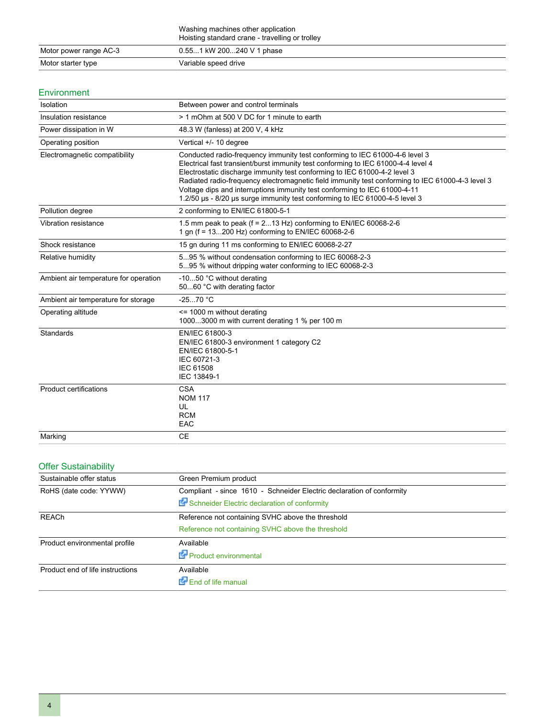|                        | Washing machines other application<br>Hoisting standard crane - travelling or trolley |
|------------------------|---------------------------------------------------------------------------------------|
| Motor power range AC-3 | 0.551 kW 200240 V 1 phase                                                             |
| Motor starter type     | Variable speed drive                                                                  |

### Environment

| Isolation                             | Between power and control terminals                                                                                                                                                                                                                                                                                                                                                                                                                                                                           |
|---------------------------------------|---------------------------------------------------------------------------------------------------------------------------------------------------------------------------------------------------------------------------------------------------------------------------------------------------------------------------------------------------------------------------------------------------------------------------------------------------------------------------------------------------------------|
| Insulation resistance                 | > 1 mOhm at 500 V DC for 1 minute to earth                                                                                                                                                                                                                                                                                                                                                                                                                                                                    |
| Power dissipation in W                | 48.3 W (fanless) at 200 V, 4 kHz                                                                                                                                                                                                                                                                                                                                                                                                                                                                              |
| Operating position                    | Vertical +/- 10 degree                                                                                                                                                                                                                                                                                                                                                                                                                                                                                        |
| Electromagnetic compatibility         | Conducted radio-frequency immunity test conforming to IEC 61000-4-6 level 3<br>Electrical fast transient/burst immunity test conforming to IEC 61000-4-4 level 4<br>Electrostatic discharge immunity test conforming to IEC 61000-4-2 level 3<br>Radiated radio-frequency electromagnetic field immunity test conforming to IEC 61000-4-3 level 3<br>Voltage dips and interruptions immunity test conforming to IEC 61000-4-11<br>1.2/50 µs - 8/20 µs surge immunity test conforming to IEC 61000-4-5 level 3 |
| Pollution degree                      | 2 conforming to EN/IEC 61800-5-1                                                                                                                                                                                                                                                                                                                                                                                                                                                                              |
| Vibration resistance                  | 1.5 mm peak to peak ( $f = 213$ Hz) conforming to EN/IEC 60068-2-6<br>1 gn (f = 13200 Hz) conforming to EN/IEC 60068-2-6                                                                                                                                                                                                                                                                                                                                                                                      |
| Shock resistance                      | 15 gn during 11 ms conforming to EN/IEC 60068-2-27                                                                                                                                                                                                                                                                                                                                                                                                                                                            |
| Relative humidity                     | 595 % without condensation conforming to IEC 60068-2-3<br>595 % without dripping water conforming to IEC 60068-2-3                                                                                                                                                                                                                                                                                                                                                                                            |
| Ambient air temperature for operation | -1050 °C without derating<br>5060 °C with derating factor                                                                                                                                                                                                                                                                                                                                                                                                                                                     |
| Ambient air temperature for storage   | $-2570 °C$                                                                                                                                                                                                                                                                                                                                                                                                                                                                                                    |
| Operating altitude                    | $\le$ 1000 m without derating<br>10003000 m with current derating 1 % per 100 m                                                                                                                                                                                                                                                                                                                                                                                                                               |
| <b>Standards</b>                      | EN/IEC 61800-3<br>EN/IEC 61800-3 environment 1 category C2<br>EN/IEC 61800-5-1<br>IEC 60721-3<br><b>IEC 61508</b><br>IEC 13849-1                                                                                                                                                                                                                                                                                                                                                                              |
| <b>Product certifications</b>         | <b>CSA</b><br><b>NOM 117</b><br>UL<br><b>RCM</b><br>EAC                                                                                                                                                                                                                                                                                                                                                                                                                                                       |
| Marking                               | <b>CE</b>                                                                                                                                                                                                                                                                                                                                                                                                                                                                                                     |

## Offer Sustainability

| Sustainable offer status                                          | Green Premium product                                                 |  |  |
|-------------------------------------------------------------------|-----------------------------------------------------------------------|--|--|
| RoHS (date code: YYWW)                                            | Compliant - since 1610 - Schneider Electric declaration of conformity |  |  |
|                                                                   | Schneider Electric declaration of conformity                          |  |  |
| Reference not containing SVHC above the threshold<br><b>REACh</b> |                                                                       |  |  |
|                                                                   | Reference not containing SVHC above the threshold                     |  |  |
| Product environmental profile                                     | Available                                                             |  |  |
|                                                                   | Product environmental                                                 |  |  |
| Product end of life instructions                                  | Available                                                             |  |  |
|                                                                   | End of life manual                                                    |  |  |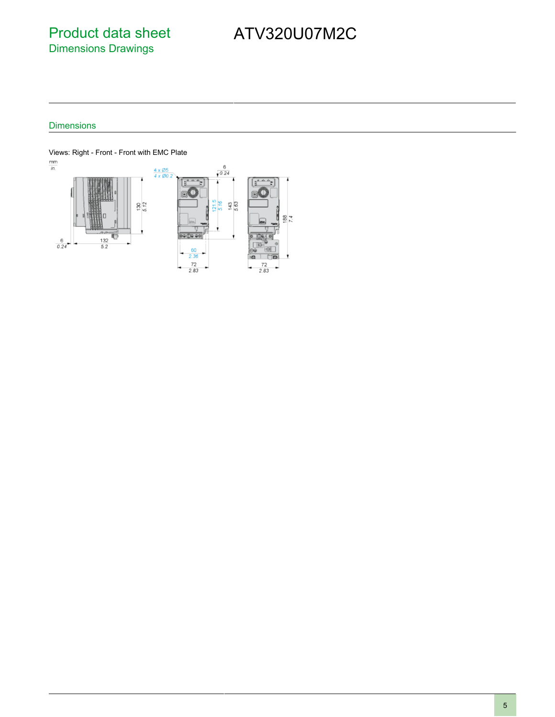# Product data sheet Dimensions Drawings

# ATV320U07M2C

### **Dimensions**

Views: Right - Front - Front with EMC Plate<br> $\frac{mm}{in}$ 

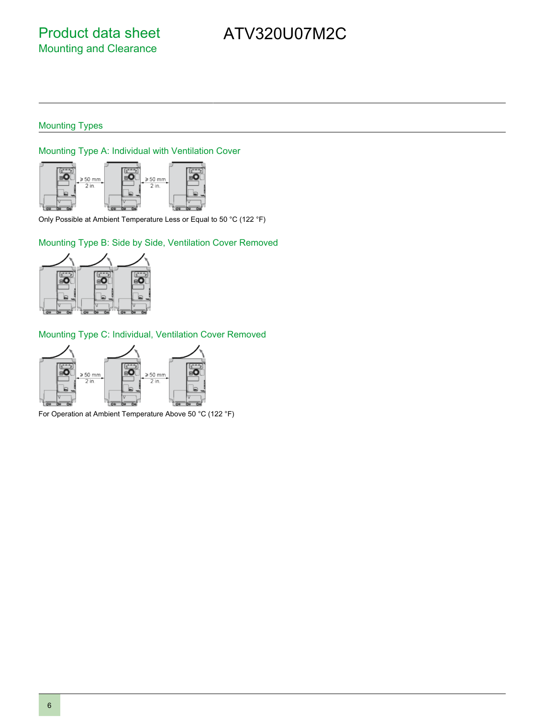## Mounting Types

### Mounting Type A: Individual with Ventilation Cover



Only Possible at Ambient Temperature Less or Equal to 50 °C (122 °F)

### Mounting Type B: Side by Side, Ventilation Cover Removed



## Mounting Type C: Individual, Ventilation Cover Removed



For Operation at Ambient Temperature Above 50 °C (122 °F)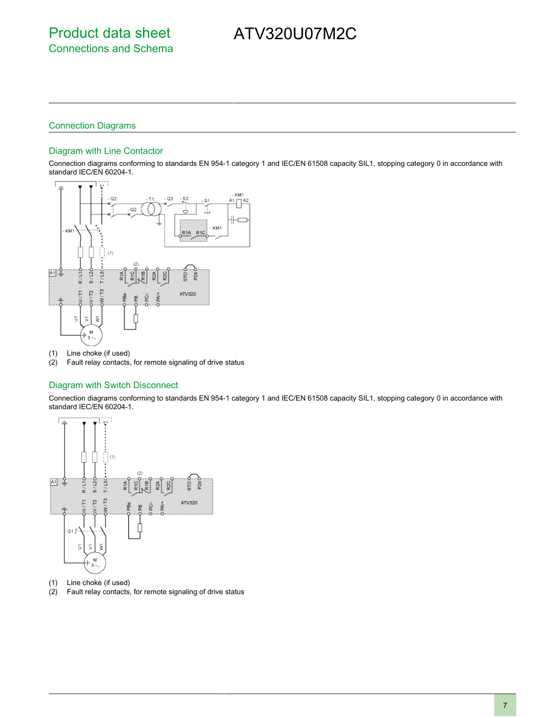## Connection Diagrams

#### Diagram with Line Contactor

Connection diagrams conforming to standards EN 954-1 category 1 and IEC/EN 61508 capacity SIL1, stopping category 0 in accordance with standard IEC/EN 60204-1.



- (1) Line choke (if used)
- (2) Fault relay contacts, for remote signaling of drive status

#### Diagram with Switch Disconnect

Connection diagrams conforming to standards EN 954-1 category 1 and IEC/EN 61508 capacity SIL1, stopping category 0 in accordance with standard IEC/EN 60204-1.



- (1) Line choke (if used)
- (2) Fault relay contacts, for remote signaling of drive status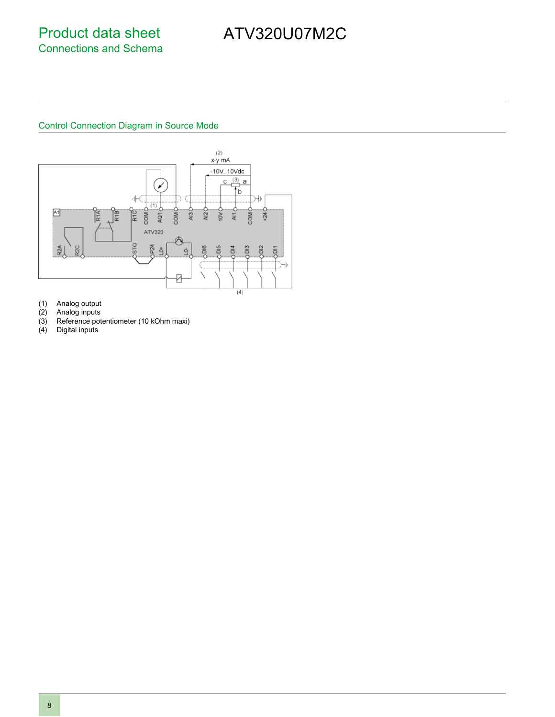## Control Connection Diagram in Source Mode



- (1) Analog output
- (2) Analog inputs
- (3) Reference potentiometer (10 kOhm maxi)<br>(4) Digital inputs
- Digital inputs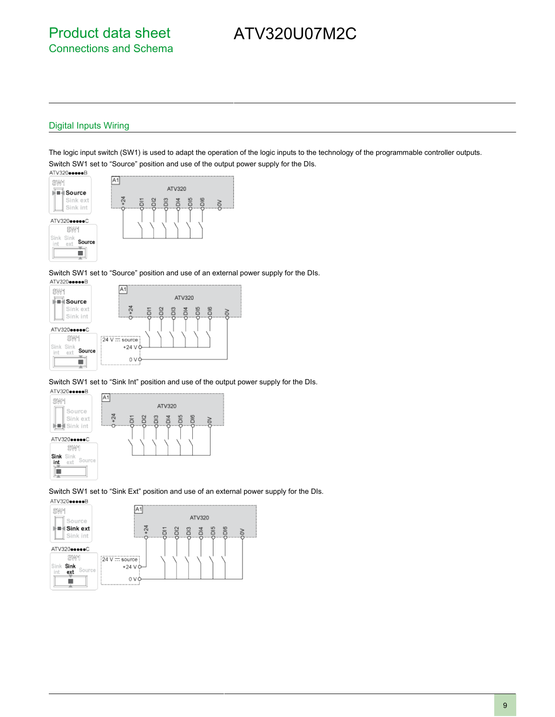### Digital Inputs Wiring

The logic input switch (SW1) is used to adapt the operation of the logic inputs to the technology of the programmable controller outputs. Switch SW1 set to "Source" position and use of the output power supply for the DIs.



Switch SW1 set to "Source" position and use of an external power supply for the DIs.



Switch SW1 set to "Sink Int" position and use of the output power supply for the DIs.



Switch SW1 set to "Sink Ext" position and use of an external power supply for the DIs.

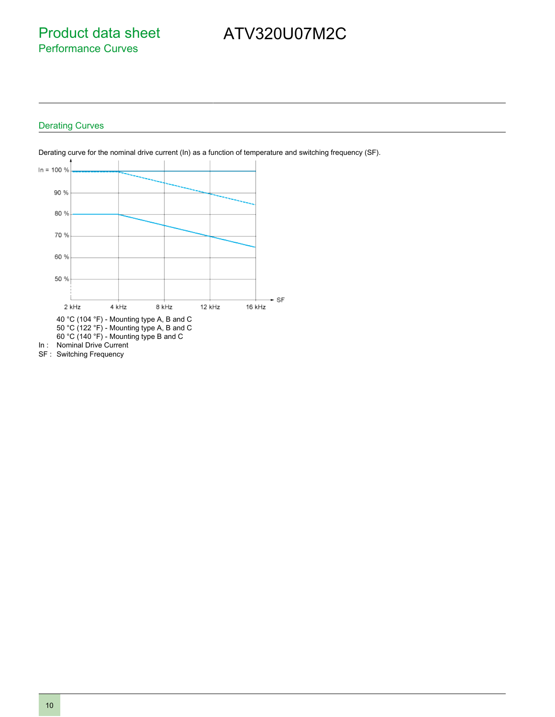Product data sheet Performance Curves

# ATV320U07M2C

### Derating Curves



Derating curve for the nominal drive current (In) as a function of temperature and switching frequency (SF).